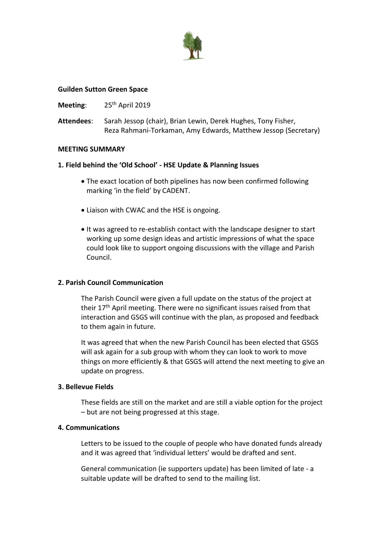

#### **Guilden Sutton Green Space**

#### Meeting: 25<sup>th</sup> April 2019

**Attendees**: Sarah Jessop (chair), Brian Lewin, Derek Hughes, Tony Fisher, Reza Rahmani-Torkaman, Amy Edwards, Matthew Jessop (Secretary)

#### **MEETING SUMMARY**

# **1. Field behind the 'Old School' - HSE Update & Planning Issues**

- The exact location of both pipelines has now been confirmed following marking 'in the field' by CADENT.
- Liaison with CWAC and the HSE is ongoing.
- It was agreed to re-establish contact with the landscape designer to start working up some design ideas and artistic impressions of what the space could look like to support ongoing discussions with the village and Parish Council.

# **2. Parish Council Communication**

The Parish Council were given a full update on the status of the project at their 17<sup>th</sup> April meeting. There were no significant issues raised from that interaction and GSGS will continue with the plan, as proposed and feedback to them again in future.

It was agreed that when the new Parish Council has been elected that GSGS will ask again for a sub group with whom they can look to work to move things on more efficiently & that GSGS will attend the next meeting to give an update on progress.

# **3. Bellevue Fields**

These fields are still on the market and are still a viable option for the project – but are not being progressed at this stage.

#### **4. Communications**

Letters to be issued to the couple of people who have donated funds already and it was agreed that 'individual letters' would be drafted and sent.

General communication (ie supporters update) has been limited of late - a suitable update will be drafted to send to the mailing list.